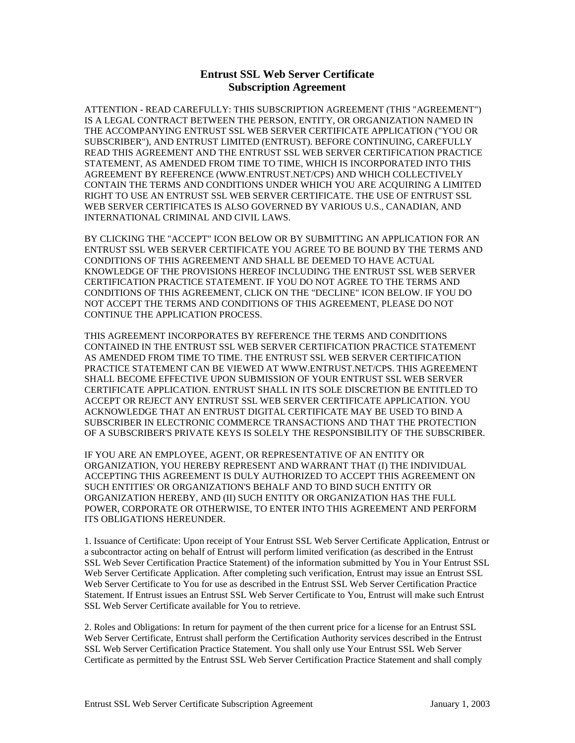## **Entrust SSL Web Server Certificate Subscription Agreement**

ATTENTION - READ CAREFULLY: THIS SUBSCRIPTION AGREEMENT (THIS "AGREEMENT") IS A LEGAL CONTRACT BETWEEN THE PERSON, ENTITY, OR ORGANIZATION NAMED IN THE ACCOMPANYING ENTRUST SSL WEB SERVER CERTIFICATE APPLICATION ("YOU OR SUBSCRIBER"), AND ENTRUST LIMITED (ENTRUST). BEFORE CONTINUING, CAREFULLY READ THIS AGREEMENT AND THE ENTRUST SSL WEB SERVER CERTIFICATION PRACTICE STATEMENT, AS AMENDED FROM TIME TO TIME, WHICH IS INCORPORATED INTO THIS AGREEMENT BY REFERENCE (WWW.ENTRUST.NET/CPS) AND WHICH COLLECTIVELY CONTAIN THE TERMS AND CONDITIONS UNDER WHICH YOU ARE ACQUIRING A LIMITED RIGHT TO USE AN ENTRUST SSL WEB SERVER CERTIFICATE. THE USE OF ENTRUST SSL WEB SERVER CERTIFICATES IS ALSO GOVERNED BY VARIOUS U.S., CANADIAN, AND INTERNATIONAL CRIMINAL AND CIVIL LAWS.

BY CLICKING THE "ACCEPT" ICON BELOW OR BY SUBMITTING AN APPLICATION FOR AN ENTRUST SSL WEB SERVER CERTIFICATE YOU AGREE TO BE BOUND BY THE TERMS AND CONDITIONS OF THIS AGREEMENT AND SHALL BE DEEMED TO HAVE ACTUAL KNOWLEDGE OF THE PROVISIONS HEREOF INCLUDING THE ENTRUST SSL WEB SERVER CERTIFICATION PRACTICE STATEMENT. IF YOU DO NOT AGREE TO THE TERMS AND CONDITIONS OF THIS AGREEMENT, CLICK ON THE "DECLINE" ICON BELOW. IF YOU DO NOT ACCEPT THE TERMS AND CONDITIONS OF THIS AGREEMENT, PLEASE DO NOT CONTINUE THE APPLICATION PROCESS.

THIS AGREEMENT INCORPORATES BY REFERENCE THE TERMS AND CONDITIONS CONTAINED IN THE ENTRUST SSL WEB SERVER CERTIFICATION PRACTICE STATEMENT AS AMENDED FROM TIME TO TIME. THE ENTRUST SSL WEB SERVER CERTIFICATION PRACTICE STATEMENT CAN BE VIEWED AT WWW.ENTRUST.NET/CPS. THIS AGREEMENT SHALL BECOME EFFECTIVE UPON SUBMISSION OF YOUR ENTRUST SSL WEB SERVER CERTIFICATE APPLICATION. ENTRUST SHALL IN ITS SOLE DISCRETION BE ENTITLED TO ACCEPT OR REJECT ANY ENTRUST SSL WEB SERVER CERTIFICATE APPLICATION. YOU ACKNOWLEDGE THAT AN ENTRUST DIGITAL CERTIFICATE MAY BE USED TO BIND A SUBSCRIBER IN ELECTRONIC COMMERCE TRANSACTIONS AND THAT THE PROTECTION OF A SUBSCRIBER'S PRIVATE KEYS IS SOLELY THE RESPONSIBILITY OF THE SUBSCRIBER.

IF YOU ARE AN EMPLOYEE, AGENT, OR REPRESENTATIVE OF AN ENTITY OR ORGANIZATION, YOU HEREBY REPRESENT AND WARRANT THAT (I) THE INDIVIDUAL ACCEPTING THIS AGREEMENT IS DULY AUTHORIZED TO ACCEPT THIS AGREEMENT ON SUCH ENTITIES' OR ORGANIZATION'S BEHALF AND TO BIND SUCH ENTITY OR ORGANIZATION HEREBY, AND (II) SUCH ENTITY OR ORGANIZATION HAS THE FULL POWER, CORPORATE OR OTHERWISE, TO ENTER INTO THIS AGREEMENT AND PERFORM ITS OBLIGATIONS HEREUNDER.

1. Issuance of Certificate: Upon receipt of Your Entrust SSL Web Server Certificate Application, Entrust or a subcontractor acting on behalf of Entrust will perform limited verification (as described in the Entrust SSL Web Sever Certification Practice Statement) of the information submitted by You in Your Entrust SSL Web Server Certificate Application. After completing such verification, Entrust may issue an Entrust SSL Web Server Certificate to You for use as described in the Entrust SSL Web Server Certification Practice Statement. If Entrust issues an Entrust SSL Web Server Certificate to You, Entrust will make such Entrust SSL Web Server Certificate available for You to retrieve.

2. Roles and Obligations: In return for payment of the then current price for a license for an Entrust SSL Web Server Certificate, Entrust shall perform the Certification Authority services described in the Entrust SSL Web Server Certification Practice Statement. You shall only use Your Entrust SSL Web Server Certificate as permitted by the Entrust SSL Web Server Certification Practice Statement and shall comply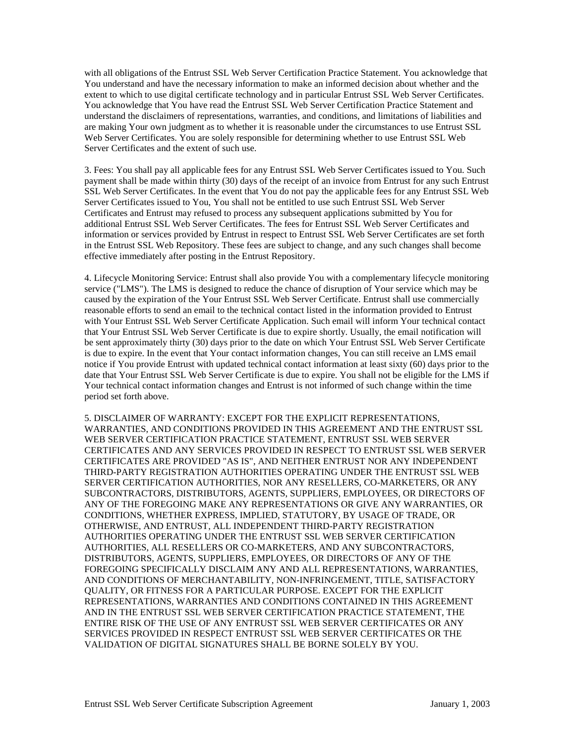with all obligations of the Entrust SSL Web Server Certification Practice Statement. You acknowledge that You understand and have the necessary information to make an informed decision about whether and the extent to which to use digital certificate technology and in particular Entrust SSL Web Server Certificates. You acknowledge that You have read the Entrust SSL Web Server Certification Practice Statement and understand the disclaimers of representations, warranties, and conditions, and limitations of liabilities and are making Your own judgment as to whether it is reasonable under the circumstances to use Entrust SSL Web Server Certificates. You are solely responsible for determining whether to use Entrust SSL Web Server Certificates and the extent of such use.

3. Fees: You shall pay all applicable fees for any Entrust SSL Web Server Certificates issued to You. Such payment shall be made within thirty (30) days of the receipt of an invoice from Entrust for any such Entrust SSL Web Server Certificates. In the event that You do not pay the applicable fees for any Entrust SSL Web Server Certificates issued to You, You shall not be entitled to use such Entrust SSL Web Server Certificates and Entrust may refused to process any subsequent applications submitted by You for additional Entrust SSL Web Server Certificates. The fees for Entrust SSL Web Server Certificates and information or services provided by Entrust in respect to Entrust SSL Web Server Certificates are set forth in the Entrust SSL Web Repository. These fees are subject to change, and any such changes shall become effective immediately after posting in the Entrust Repository.

4. Lifecycle Monitoring Service: Entrust shall also provide You with a complementary lifecycle monitoring service ("LMS"). The LMS is designed to reduce the chance of disruption of Your service which may be caused by the expiration of the Your Entrust SSL Web Server Certificate. Entrust shall use commercially reasonable efforts to send an email to the technical contact listed in the information provided to Entrust with Your Entrust SSL Web Server Certificate Application. Such email will inform Your technical contact that Your Entrust SSL Web Server Certificate is due to expire shortly. Usually, the email notification will be sent approximately thirty (30) days prior to the date on which Your Entrust SSL Web Server Certificate is due to expire. In the event that Your contact information changes, You can still receive an LMS email notice if You provide Entrust with updated technical contact information at least sixty (60) days prior to the date that Your Entrust SSL Web Server Certificate is due to expire. You shall not be eligible for the LMS if Your technical contact information changes and Entrust is not informed of such change within the time period set forth above.

5. DISCLAIMER OF WARRANTY: EXCEPT FOR THE EXPLICIT REPRESENTATIONS, WARRANTIES, AND CONDITIONS PROVIDED IN THIS AGREEMENT AND THE ENTRUST SSL WEB SERVER CERTIFICATION PRACTICE STATEMENT, ENTRUST SSL WEB SERVER CERTIFICATES AND ANY SERVICES PROVIDED IN RESPECT TO ENTRUST SSL WEB SERVER CERTIFICATES ARE PROVIDED "AS IS", AND NEITHER ENTRUST NOR ANY INDEPENDENT THIRD-PARTY REGISTRATION AUTHORITIES OPERATING UNDER THE ENTRUST SSL WEB SERVER CERTIFICATION AUTHORITIES, NOR ANY RESELLERS, CO-MARKETERS, OR ANY SUBCONTRACTORS, DISTRIBUTORS, AGENTS, SUPPLIERS, EMPLOYEES, OR DIRECTORS OF ANY OF THE FOREGOING MAKE ANY REPRESENTATIONS OR GIVE ANY WARRANTIES, OR CONDITIONS, WHETHER EXPRESS, IMPLIED, STATUTORY, BY USAGE OF TRADE, OR OTHERWISE, AND ENTRUST, ALL INDEPENDENT THIRD-PARTY REGISTRATION AUTHORITIES OPERATING UNDER THE ENTRUST SSL WEB SERVER CERTIFICATION AUTHORITIES, ALL RESELLERS OR CO-MARKETERS, AND ANY SUBCONTRACTORS, DISTRIBUTORS, AGENTS, SUPPLIERS, EMPLOYEES, OR DIRECTORS OF ANY OF THE FOREGOING SPECIFICALLY DISCLAIM ANY AND ALL REPRESENTATIONS, WARRANTIES, AND CONDITIONS OF MERCHANTABILITY, NON-INFRINGEMENT, TITLE, SATISFACTORY QUALITY, OR FITNESS FOR A PARTICULAR PURPOSE. EXCEPT FOR THE EXPLICIT REPRESENTATIONS, WARRANTIES AND CONDITIONS CONTAINED IN THIS AGREEMENT AND IN THE ENTRUST SSL WEB SERVER CERTIFICATION PRACTICE STATEMENT, THE ENTIRE RISK OF THE USE OF ANY ENTRUST SSL WEB SERVER CERTIFICATES OR ANY SERVICES PROVIDED IN RESPECT ENTRUST SSL WEB SERVER CERTIFICATES OR THE VALIDATION OF DIGITAL SIGNATURES SHALL BE BORNE SOLELY BY YOU.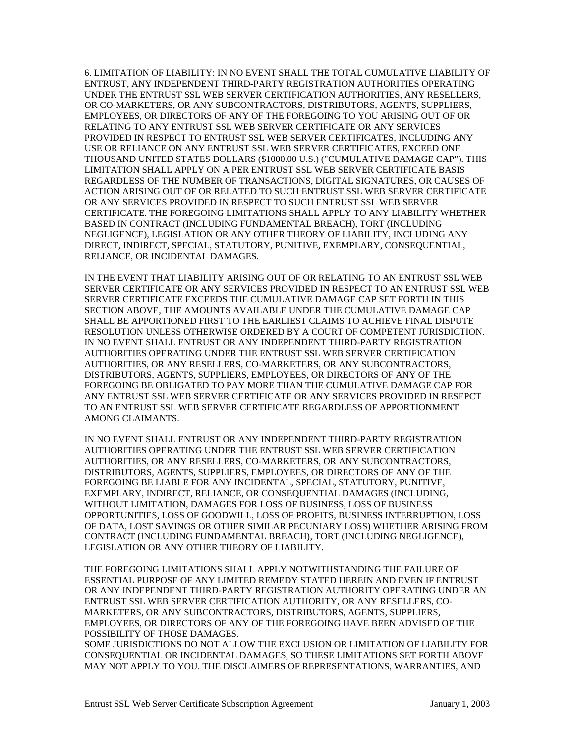6. LIMITATION OF LIABILITY: IN NO EVENT SHALL THE TOTAL CUMULATIVE LIABILITY OF ENTRUST, ANY INDEPENDENT THIRD-PARTY REGISTRATION AUTHORITIES OPERATING UNDER THE ENTRUST SSL WEB SERVER CERTIFICATION AUTHORITIES, ANY RESELLERS, OR CO-MARKETERS, OR ANY SUBCONTRACTORS, DISTRIBUTORS, AGENTS, SUPPLIERS, EMPLOYEES, OR DIRECTORS OF ANY OF THE FOREGOING TO YOU ARISING OUT OF OR RELATING TO ANY ENTRUST SSL WEB SERVER CERTIFICATE OR ANY SERVICES PROVIDED IN RESPECT TO ENTRUST SSL WEB SERVER CERTIFICATES, INCLUDING ANY USE OR RELIANCE ON ANY ENTRUST SSL WEB SERVER CERTIFICATES, EXCEED ONE THOUSAND UNITED STATES DOLLARS (\$1000.00 U.S.) ("CUMULATIVE DAMAGE CAP"). THIS LIMITATION SHALL APPLY ON A PER ENTRUST SSL WEB SERVER CERTIFICATE BASIS REGARDLESS OF THE NUMBER OF TRANSACTIONS, DIGITAL SIGNATURES, OR CAUSES OF ACTION ARISING OUT OF OR RELATED TO SUCH ENTRUST SSL WEB SERVER CERTIFICATE OR ANY SERVICES PROVIDED IN RESPECT TO SUCH ENTRUST SSL WEB SERVER CERTIFICATE. THE FOREGOING LIMITATIONS SHALL APPLY TO ANY LIABILITY WHETHER BASED IN CONTRACT (INCLUDING FUNDAMENTAL BREACH), TORT (INCLUDING NEGLIGENCE), LEGISLATION OR ANY OTHER THEORY OF LIABILITY, INCLUDING ANY DIRECT, INDIRECT, SPECIAL, STATUTORY, PUNITIVE, EXEMPLARY, CONSEQUENTIAL, RELIANCE, OR INCIDENTAL DAMAGES.

IN THE EVENT THAT LIABILITY ARISING OUT OF OR RELATING TO AN ENTRUST SSL WEB SERVER CERTIFICATE OR ANY SERVICES PROVIDED IN RESPECT TO AN ENTRUST SSL WEB SERVER CERTIFICATE EXCEEDS THE CUMULATIVE DAMAGE CAP SET FORTH IN THIS SECTION ABOVE, THE AMOUNTS AVAILABLE UNDER THE CUMULATIVE DAMAGE CAP SHALL BE APPORTIONED FIRST TO THE EARLIEST CLAIMS TO ACHIEVE FINAL DISPUTE RESOLUTION UNLESS OTHERWISE ORDERED BY A COURT OF COMPETENT JURISDICTION. IN NO EVENT SHALL ENTRUST OR ANY INDEPENDENT THIRD-PARTY REGISTRATION AUTHORITIES OPERATING UNDER THE ENTRUST SSL WEB SERVER CERTIFICATION AUTHORITIES, OR ANY RESELLERS, CO-MARKETERS, OR ANY SUBCONTRACTORS, DISTRIBUTORS, AGENTS, SUPPLIERS, EMPLOYEES, OR DIRECTORS OF ANY OF THE FOREGOING BE OBLIGATED TO PAY MORE THAN THE CUMULATIVE DAMAGE CAP FOR ANY ENTRUST SSL WEB SERVER CERTIFICATE OR ANY SERVICES PROVIDED IN RESEPCT TO AN ENTRUST SSL WEB SERVER CERTIFICATE REGARDLESS OF APPORTIONMENT AMONG CLAIMANTS.

IN NO EVENT SHALL ENTRUST OR ANY INDEPENDENT THIRD-PARTY REGISTRATION AUTHORITIES OPERATING UNDER THE ENTRUST SSL WEB SERVER CERTIFICATION AUTHORITIES, OR ANY RESELLERS, CO-MARKETERS, OR ANY SUBCONTRACTORS, DISTRIBUTORS, AGENTS, SUPPLIERS, EMPLOYEES, OR DIRECTORS OF ANY OF THE FOREGOING BE LIABLE FOR ANY INCIDENTAL, SPECIAL, STATUTORY, PUNITIVE, EXEMPLARY, INDIRECT, RELIANCE, OR CONSEQUENTIAL DAMAGES (INCLUDING, WITHOUT LIMITATION, DAMAGES FOR LOSS OF BUSINESS, LOSS OF BUSINESS OPPORTUNITIES, LOSS OF GOODWILL, LOSS OF PROFITS, BUSINESS INTERRUPTION, LOSS OF DATA, LOST SAVINGS OR OTHER SIMILAR PECUNIARY LOSS) WHETHER ARISING FROM CONTRACT (INCLUDING FUNDAMENTAL BREACH), TORT (INCLUDING NEGLIGENCE), LEGISLATION OR ANY OTHER THEORY OF LIABILITY.

THE FOREGOING LIMITATIONS SHALL APPLY NOTWITHSTANDING THE FAILURE OF ESSENTIAL PURPOSE OF ANY LIMITED REMEDY STATED HEREIN AND EVEN IF ENTRUST OR ANY INDEPENDENT THIRD-PARTY REGISTRATION AUTHORITY OPERATING UNDER AN ENTRUST SSL WEB SERVER CERTIFICATION AUTHORITY, OR ANY RESELLERS, CO-MARKETERS, OR ANY SUBCONTRACTORS, DISTRIBUTORS, AGENTS, SUPPLIERS, EMPLOYEES, OR DIRECTORS OF ANY OF THE FOREGOING HAVE BEEN ADVISED OF THE POSSIBILITY OF THOSE DAMAGES.

SOME JURISDICTIONS DO NOT ALLOW THE EXCLUSION OR LIMITATION OF LIABILITY FOR CONSEQUENTIAL OR INCIDENTAL DAMAGES, SO THESE LIMITATIONS SET FORTH ABOVE MAY NOT APPLY TO YOU. THE DISCLAIMERS OF REPRESENTATIONS, WARRANTIES, AND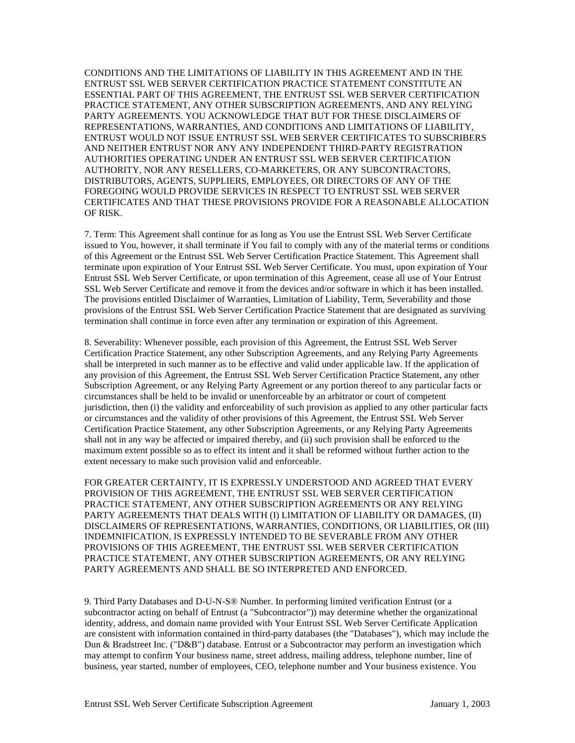CONDITIONS AND THE LIMITATIONS OF LIABILITY IN THIS AGREEMENT AND IN THE ENTRUST SSL WEB SERVER CERTIFICATION PRACTICE STATEMENT CONSTITUTE AN ESSENTIAL PART OF THIS AGREEMENT, THE ENTRUST SSL WEB SERVER CERTIFICATION PRACTICE STATEMENT, ANY OTHER SUBSCRIPTION AGREEMENTS, AND ANY RELYING PARTY AGREEMENTS. YOU ACKNOWLEDGE THAT BUT FOR THESE DISCLAIMERS OF REPRESENTATIONS, WARRANTIES, AND CONDITIONS AND LIMITATIONS OF LIABILITY, ENTRUST WOULD NOT ISSUE ENTRUST SSL WEB SERVER CERTIFICATES TO SUBSCRIBERS AND NEITHER ENTRUST NOR ANY ANY INDEPENDENT THIRD-PARTY REGISTRATION AUTHORITIES OPERATING UNDER AN ENTRUST SSL WEB SERVER CERTIFICATION AUTHORITY, NOR ANY RESELLERS, CO-MARKETERS, OR ANY SUBCONTRACTORS, DISTRIBUTORS, AGENTS, SUPPLIERS, EMPLOYEES, OR DIRECTORS OF ANY OF THE FOREGOING WOULD PROVIDE SERVICES IN RESPECT TO ENTRUST SSL WEB SERVER CERTIFICATES AND THAT THESE PROVISIONS PROVIDE FOR A REASONABLE ALLOCATION OF RISK.

7. Term: This Agreement shall continue for as long as You use the Entrust SSL Web Server Certificate issued to You, however, it shall terminate if You fail to comply with any of the material terms or conditions of this Agreement or the Entrust SSL Web Server Certification Practice Statement. This Agreement shall terminate upon expiration of Your Entrust SSL Web Server Certificate. You must, upon expiration of Your Entrust SSL Web Server Certificate, or upon termination of this Agreement, cease all use of Your Entrust SSL Web Server Certificate and remove it from the devices and/or software in which it has been installed. The provisions entitled Disclaimer of Warranties, Limitation of Liability, Term, Severability and those provisions of the Entrust SSL Web Server Certification Practice Statement that are designated as surviving termination shall continue in force even after any termination or expiration of this Agreement.

8. Severability: Whenever possible, each provision of this Agreement, the Entrust SSL Web Server Certification Practice Statement, any other Subscription Agreements, and any Relying Party Agreements shall be interpreted in such manner as to be effective and valid under applicable law. If the application of any provision of this Agreement, the Entrust SSL Web Server Certification Practice Statement, any other Subscription Agreement, or any Relying Party Agreement or any portion thereof to any particular facts or circumstances shall be held to be invalid or unenforceable by an arbitrator or court of competent jurisdiction, then (i) the validity and enforceability of such provision as applied to any other particular facts or circumstances and the validity of other provisions of this Agreement, the Entrust SSL Web Server Certification Practice Statement, any other Subscription Agreements, or any Relying Party Agreements shall not in any way be affected or impaired thereby, and (ii) such provision shall be enforced to the maximum extent possible so as to effect its intent and it shall be reformed without further action to the extent necessary to make such provision valid and enforceable.

FOR GREATER CERTAINTY, IT IS EXPRESSLY UNDERSTOOD AND AGREED THAT EVERY PROVISION OF THIS AGREEMENT, THE ENTRUST SSL WEB SERVER CERTIFICATION PRACTICE STATEMENT, ANY OTHER SUBSCRIPTION AGREEMENTS OR ANY RELYING PARTY AGREEMENTS THAT DEALS WITH (I) LIMITATION OF LIABILITY OR DAMAGES, (II) DISCLAIMERS OF REPRESENTATIONS, WARRANTIES, CONDITIONS, OR LIABILITIES, OR (III) INDEMNIFICATION, IS EXPRESSLY INTENDED TO BE SEVERABLE FROM ANY OTHER PROVISIONS OF THIS AGREEMENT, THE ENTRUST SSL WEB SERVER CERTIFICATION PRACTICE STATEMENT, ANY OTHER SUBSCRIPTION AGREEMENTS, OR ANY RELYING PARTY AGREEMENTS AND SHALL BE SO INTERPRETED AND ENFORCED.

9. Third Party Databases and D-U-N-S® Number. In performing limited verification Entrust (or a subcontractor acting on behalf of Entrust (a "Subcontractor")) may determine whether the organizational identity, address, and domain name provided with Your Entrust SSL Web Server Certificate Application are consistent with information contained in third-party databases (the "Databases"), which may include the Dun & Bradstreet Inc. ("D&B") database. Entrust or a Subcontractor may perform an investigation which may attempt to confirm Your business name, street address, mailing address, telephone number, line of business, year started, number of employees, CEO, telephone number and Your business existence. You